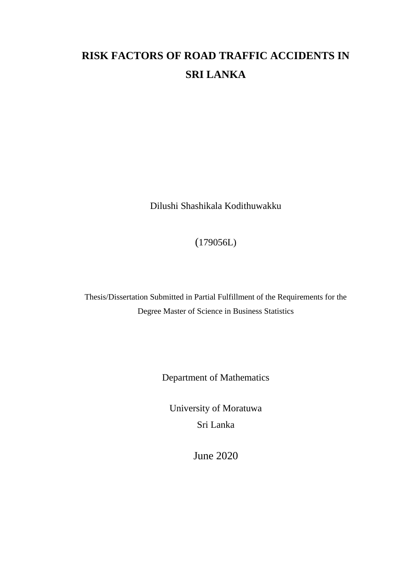# **RISK FACTORS OF ROAD TRAFFIC ACCIDENTS IN SRI LANKA**

Dilushi Shashikala Kodithuwakku

(179056L)

Thesis/Dissertation Submitted in Partial Fulfillment of the Requirements for the Degree Master of Science in Business Statistics

Department of Mathematics

University of Moratuwa Sri Lanka

June 2020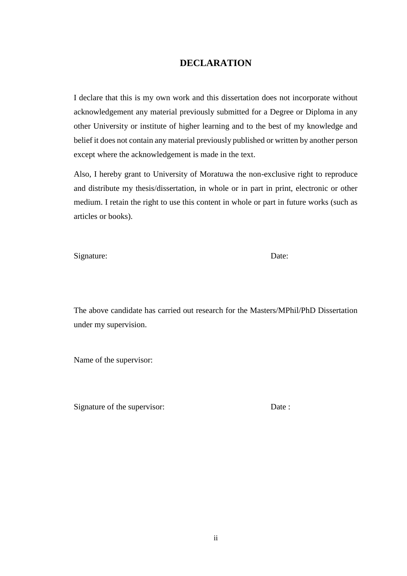#### **DECLARATION**

<span id="page-1-0"></span>I declare that this is my own work and this dissertation does not incorporate without acknowledgement any material previously submitted for a Degree or Diploma in any other University or institute of higher learning and to the best of my knowledge and belief it does not contain any material previously published or written by another person except where the acknowledgement is made in the text.

Also, I hereby grant to University of Moratuwa the non-exclusive right to reproduce and distribute my thesis/dissertation, in whole or in part in print, electronic or other medium. I retain the right to use this content in whole or part in future works (such as articles or books).

Signature: Date: Date:

The above candidate has carried out research for the Masters/MPhil/PhD Dissertation under my supervision.

Name of the supervisor:

Signature of the supervisor: Date :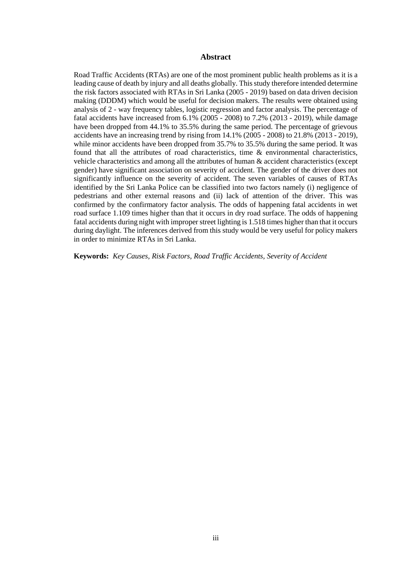#### **Abstract**

<span id="page-2-0"></span>Road Traffic Accidents (RTAs) are one of the most prominent public health problems as it is a leading cause of death by injury and all deaths globally. This study therefore intended determine the risk factors associated with RTAs in Sri Lanka (2005 - 2019) based on data driven decision making (DDDM) which would be useful for decision makers. The results were obtained using analysis of 2 - way frequency tables, logistic regression and factor analysis. The percentage of fatal accidents have increased from 6.1% (2005 - 2008) to 7.2% (2013 - 2019), while damage have been dropped from 44.1% to 35.5% during the same period. The percentage of grievous accidents have an increasing trend by rising from 14.1% (2005 - 2008) to 21.8% (2013 - 2019), while minor accidents have been dropped from 35.7% to 35.5% during the same period. It was found that all the attributes of road characteristics, time & environmental characteristics, vehicle characteristics and among all the attributes of human & accident characteristics (except gender) have significant association on severity of accident. The gender of the driver does not significantly influence on the severity of accident. The seven variables of causes of RTAs identified by the Sri Lanka Police can be classified into two factors namely (i) negligence of pedestrians and other external reasons and (ii) lack of attention of the driver. This was confirmed by the confirmatory factor analysis. The odds of happening fatal accidents in wet road surface 1.109 times higher than that it occurs in dry road surface. The odds of happening fatal accidents during night with improper street lighting is 1.518 times higher than that it occurs during daylight. The inferences derived from this study would be very useful for policy makers in order to minimize RTAs in Sri Lanka.

**Keywords:** *Key Causes, Risk Factors, Road Traffic Accidents, Severity of Accident*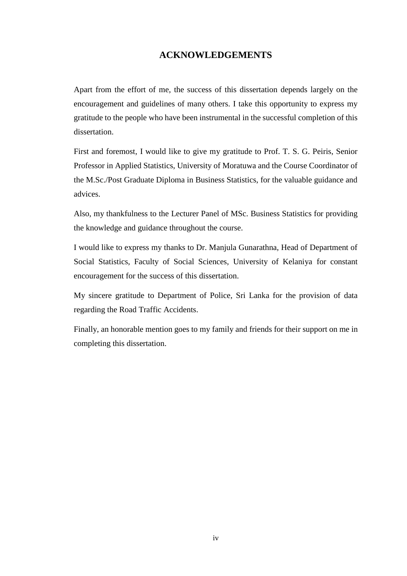#### **ACKNOWLEDGEMENTS**

<span id="page-3-0"></span>Apart from the effort of me, the success of this dissertation depends largely on the encouragement and guidelines of many others. I take this opportunity to express my gratitude to the people who have been instrumental in the successful completion of this dissertation.

First and foremost, I would like to give my gratitude to Prof. T. S. G. Peiris, Senior Professor in Applied Statistics, University of Moratuwa and the Course Coordinator of the M.Sc./Post Graduate Diploma in Business Statistics, for the valuable guidance and advices.

Also, my thankfulness to the Lecturer Panel of MSc. Business Statistics for providing the knowledge and guidance throughout the course.

I would like to express my thanks to Dr. Manjula Gunarathna, Head of Department of Social Statistics, Faculty of Social Sciences, University of Kelaniya for constant encouragement for the success of this dissertation.

My sincere gratitude to Department of Police, Sri Lanka for the provision of data regarding the Road Traffic Accidents.

Finally, an honorable mention goes to my family and friends for their support on me in completing this dissertation.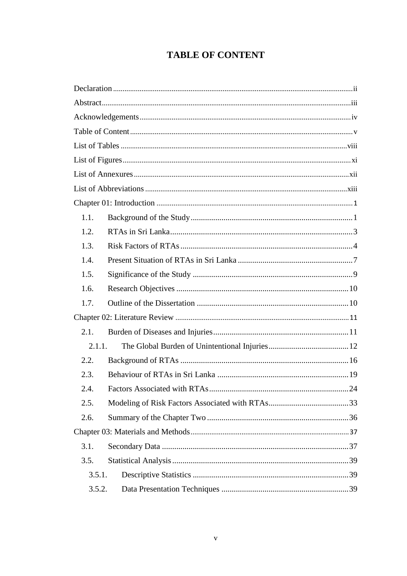# **TABLE OF CONTENT**

<span id="page-4-0"></span>

| 1.1.   |  |  |
|--------|--|--|
| 1.2.   |  |  |
| 1.3.   |  |  |
| 1.4.   |  |  |
| 1.5.   |  |  |
| 1.6.   |  |  |
| 1.7.   |  |  |
|        |  |  |
| 2.1.   |  |  |
| 2.1.1. |  |  |
| 2.2.   |  |  |
| 2.3.   |  |  |
| 2.4.   |  |  |
| 2.5.   |  |  |
| 2.6.   |  |  |
|        |  |  |
| 3.1.   |  |  |
| 3.5.   |  |  |
| 3.5.1. |  |  |
| 3.5.2. |  |  |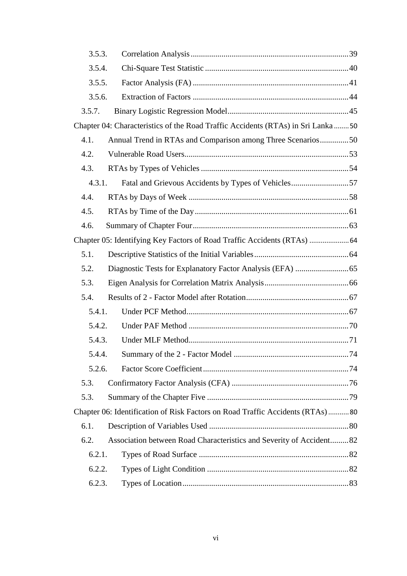| 3.5.3. |                                                                                  |  |
|--------|----------------------------------------------------------------------------------|--|
| 3.5.4. |                                                                                  |  |
| 3.5.5. |                                                                                  |  |
| 3.5.6. |                                                                                  |  |
| 3.5.7. |                                                                                  |  |
|        | Chapter 04: Characteristics of the Road Traffic Accidents (RTAs) in Sri Lanka 50 |  |
| 4.1.   | Annual Trend in RTAs and Comparison among Three Scenarios50                      |  |
| 4.2.   |                                                                                  |  |
| 4.3.   |                                                                                  |  |
| 4.3.1. | Fatal and Grievous Accidents by Types of Vehicles57                              |  |
| 4.4.   |                                                                                  |  |
| 4.5.   |                                                                                  |  |
| 4.6.   |                                                                                  |  |
|        |                                                                                  |  |
| 5.1.   |                                                                                  |  |
| 5.2.   |                                                                                  |  |
| 5.3.   |                                                                                  |  |
| 5.4.   |                                                                                  |  |
| 5.4.1. |                                                                                  |  |
| 5.4.2. |                                                                                  |  |
| 5.4.3. |                                                                                  |  |
|        |                                                                                  |  |
| 5.2.6. |                                                                                  |  |
| 5.3.   |                                                                                  |  |
| 5.3.   |                                                                                  |  |
|        | Chapter 06: Identification of Risk Factors on Road Traffic Accidents (RTAs)80    |  |
| 6.1.   |                                                                                  |  |
| 6.2.   | Association between Road Characteristics and Severity of Accident82              |  |
| 6.2.1. |                                                                                  |  |
| 6.2.2. |                                                                                  |  |
| 6.2.3. |                                                                                  |  |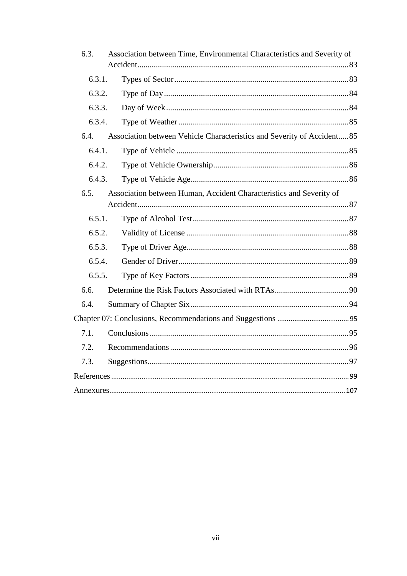| 6.3.   | Association between Time, Environmental Characteristics and Severity of |  |
|--------|-------------------------------------------------------------------------|--|
|        |                                                                         |  |
| 6.3.1. |                                                                         |  |
| 6.3.2. |                                                                         |  |
| 6.3.3. |                                                                         |  |
| 6.3.4. |                                                                         |  |
| 6.4.   | Association between Vehicle Characteristics and Severity of Accident 85 |  |
| 6.4.1. |                                                                         |  |
| 6.4.2. |                                                                         |  |
| 6.4.3. |                                                                         |  |
| 6.5.   | Association between Human, Accident Characteristics and Severity of     |  |
|        |                                                                         |  |
| 6.5.1. |                                                                         |  |
| 6.5.2. |                                                                         |  |
| 6.5.3. |                                                                         |  |
| 6.5.4. |                                                                         |  |
| 6.5.5. |                                                                         |  |
| 6.6.   |                                                                         |  |
| 6.4.   |                                                                         |  |
|        |                                                                         |  |
| 7.1.   |                                                                         |  |
| 7.2.   |                                                                         |  |
| 7.3.   |                                                                         |  |
|        |                                                                         |  |
|        |                                                                         |  |
|        |                                                                         |  |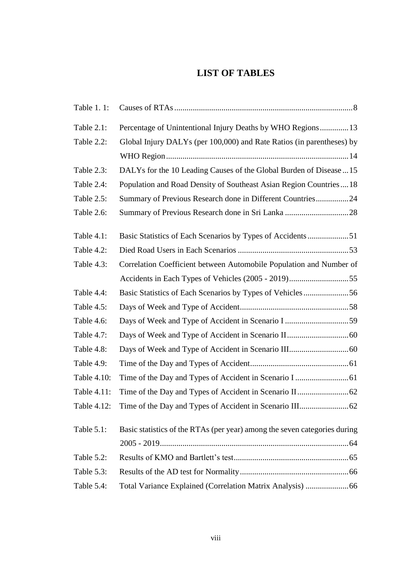#### <span id="page-7-0"></span>**LIST OF TABLES**

| Table 1.1:  |                                                                           |
|-------------|---------------------------------------------------------------------------|
| Table 2.1:  | Percentage of Unintentional Injury Deaths by WHO Regions13                |
| Table 2.2:  | Global Injury DALYs (per 100,000) and Rate Ratios (in parentheses) by     |
|             |                                                                           |
| Table 2.3:  | DALYs for the 10 Leading Causes of the Global Burden of Disease  15       |
| Table 2.4:  | Population and Road Density of Southeast Asian Region Countries  18       |
| Table 2.5:  | Summary of Previous Research done in Different Countries24                |
| Table 2.6:  |                                                                           |
| Table 4.1:  |                                                                           |
| Table 4.2:  |                                                                           |
| Table 4.3:  | Correlation Coefficient between Automobile Population and Number of       |
|             |                                                                           |
| Table 4.4:  | Basic Statistics of Each Scenarios by Types of Vehicles56                 |
| Table 4.5:  |                                                                           |
| Table 4.6:  | Days of Week and Type of Accident in Scenario I 59                        |
| Table 4.7:  |                                                                           |
| Table 4.8:  |                                                                           |
| Table 4.9:  |                                                                           |
| Table 4.10: |                                                                           |
| Table 4.11: |                                                                           |
| Table 4.12: |                                                                           |
| Table 5.1:  | Basic statistics of the RTAs (per year) among the seven categories during |
|             |                                                                           |
| Table 5.2:  |                                                                           |
| Table 5.3:  |                                                                           |
| Table 5.4:  |                                                                           |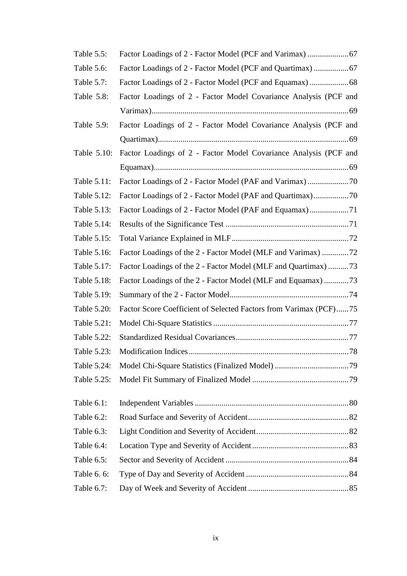| Table 5.5:  |                                                                   |
|-------------|-------------------------------------------------------------------|
| Table 5.6:  | Factor Loadings of 2 - Factor Model (PCF and Quartimax)  67       |
| Table 5.7:  |                                                                   |
| Table 5.8:  | Factor Loadings of 2 - Factor Model Covariance Analysis (PCF and  |
|             |                                                                   |
| Table 5.9:  | Factor Loadings of 2 - Factor Model Covariance Analysis (PCF and  |
|             |                                                                   |
| Table 5.10: | Factor Loadings of 2 - Factor Model Covariance Analysis (PCF and  |
|             |                                                                   |
| Table 5.11: |                                                                   |
| Table 5.12: |                                                                   |
| Table 5.13: |                                                                   |
| Table 5.14: |                                                                   |
| Table 5.15: |                                                                   |
| Table 5.16: | Factor Loadings of the 2 - Factor Model (MLF and Varimax) 72      |
| Table 5.17: | Factor Loadings of the 2 - Factor Model (MLF and Quartimax) 73    |
| Table 5.18: | Factor Loadings of the 2 - Factor Model (MLF and Equamax) 73      |
| Table 5.19: |                                                                   |
| Table 5.20: | Factor Score Coefficient of Selected Factors from Varimax (PCF)75 |
| Table 5.21: |                                                                   |
| Table 5.22: |                                                                   |
| Table 5.23: |                                                                   |
| Table 5.24: |                                                                   |
| Table 5.25: |                                                                   |
|             |                                                                   |
| Table 6.1:  |                                                                   |
| Table 6.2:  |                                                                   |
| Table 6.3:  |                                                                   |
| Table 6.4:  |                                                                   |
| Table 6.5:  |                                                                   |
| Table 6. 6: |                                                                   |
| Table 6.7:  |                                                                   |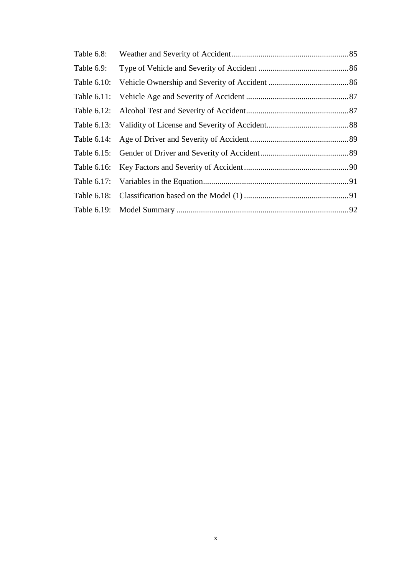| Table 6.8: |  |
|------------|--|
| Table 6.9: |  |
|            |  |
|            |  |
|            |  |
|            |  |
|            |  |
|            |  |
|            |  |
|            |  |
|            |  |
|            |  |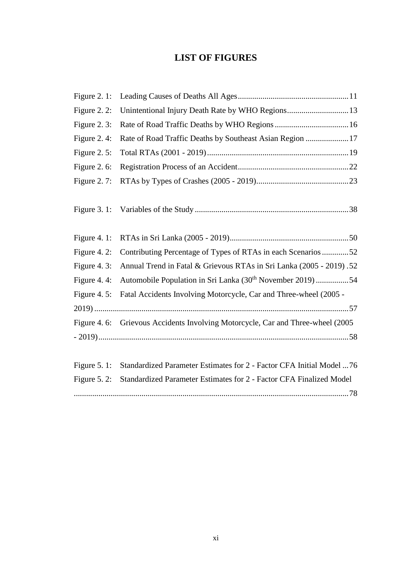### **LIST OF FIGURES**

<span id="page-10-0"></span>

| Figure $2.1$ :  |                                                                                  |
|-----------------|----------------------------------------------------------------------------------|
| Figure 2. 2:    | Unintentional Injury Death Rate by WHO Regions 13                                |
| Figure 2. $3$ : |                                                                                  |
| Figure 2.4:     | Rate of Road Traffic Deaths by Southeast Asian Region 17                         |
| Figure $2.5$ :  |                                                                                  |
| Figure 2.6:     |                                                                                  |
| Figure $2.7$ :  |                                                                                  |
| Figure $3.1$ :  |                                                                                  |
| Figure 4.1:     |                                                                                  |
| Figure 4.2:     | Contributing Percentage of Types of RTAs in each Scenarios52                     |
| Figure 4.3:     | Annual Trend in Fatal & Grievous RTAs in Sri Lanka (2005 - 2019). 52             |
| Figure 4.4:     | Automobile Population in Sri Lanka (30 <sup>th</sup> November 2019) 54           |
| Figure 4. $5$ : | Fatal Accidents Involving Motorcycle, Car and Three-wheel (2005 -                |
|                 |                                                                                  |
|                 | Figure 4. 6: Grievous Accidents Involving Motorcycle, Car and Three-wheel (2005) |
|                 |                                                                                  |
| Figure $5.1$ :  | Standardized Parameter Estimates for 2 - Factor CFA Initial Model  76            |
| Figure $5.2$ :  | Standardized Parameter Estimates for 2 - Factor CFA Finalized Model              |
|                 |                                                                                  |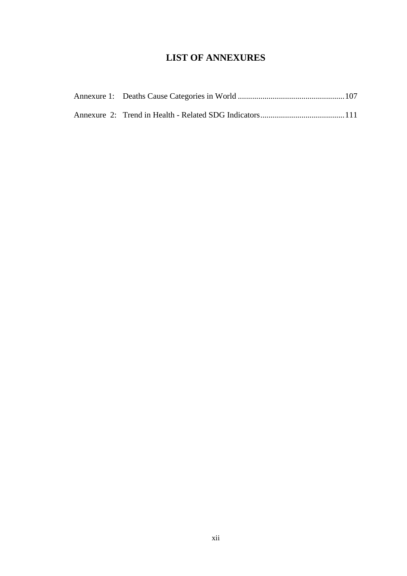### **LIST OF ANNEXURES**

<span id="page-11-0"></span>